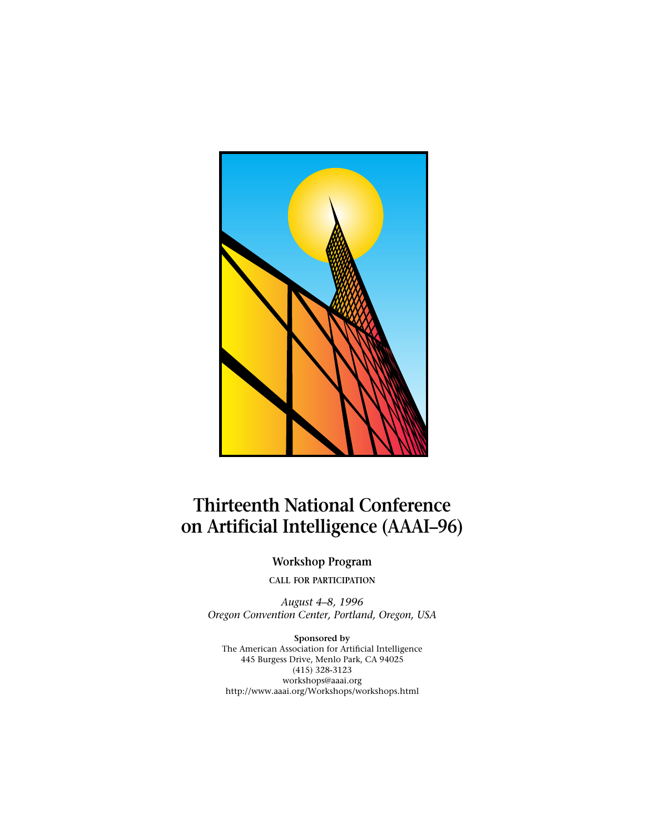

# **Thirteenth National Conference on Artificial Intelligence (AAAI–96)**

**Workshop Program**

**CALL FOR PARTICIPATION**

*August 4–8, 1996 Oregon Convention Center, Portland, Oregon, USA*

**Sponsored by** The American Association for Artificial Intelligence 445 Burgess Drive, Menlo Park, CA 94025 (415) 328-3123 workshops@aaai.org http://www.aaai.org/Workshops/workshops.html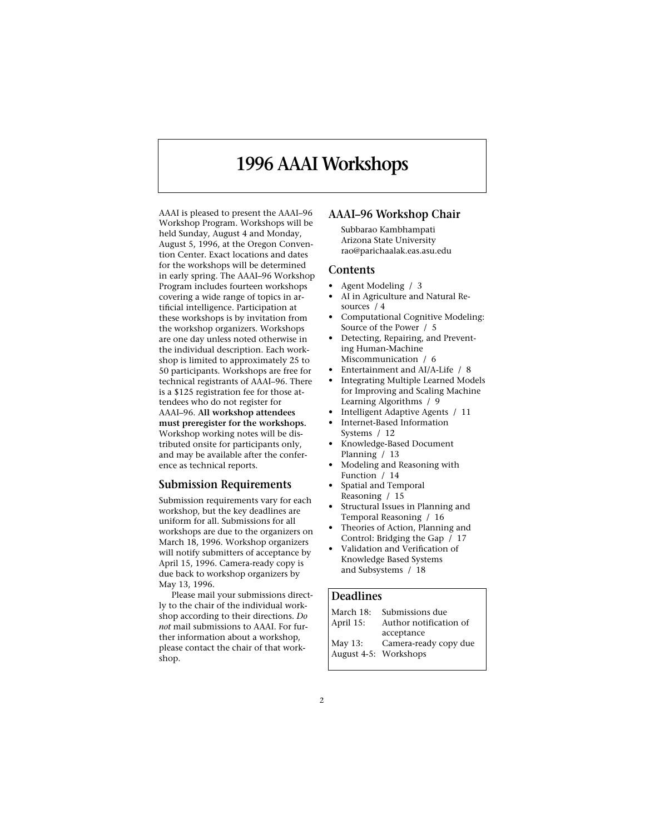## **1996 AAAI Workshops**

AAAI is pleased to present the AAAI–96 Workshop Program. Workshops will be held Sunday, August 4 and Monday, August 5, 1996, at the Oregon Convention Center. Exact locations and dates for the workshops will be determined in early spring. The AAAI–96 Workshop Program includes fourteen workshops covering a wide range of topics in artificial intelligence. Participation at these workshops is by invitation from the workshop organizers. Workshops are one day unless noted otherwise in the individual description. Each workshop is limited to approximately 25 to 50 participants. Workshops are free for technical registrants of AAAI–96. There is a \$125 registration fee for those attendees who do not register for AAAI–96. **All workshop attendees must preregister for the workshops.** Workshop working notes will be distributed onsite for participants only, and may be available after the conference as technical reports.

#### **Submission Requirements**

Submission requirements vary for each workshop, but the key deadlines are uniform for all. Submissions for all workshops are due to the organizers on March 18, 1996. Workshop organizers will notify submitters of acceptance by April 15, 1996. Camera-ready copy is due back to workshop organizers by May 13, 1996.

Please mail your submissions directly to the chair of the individual workshop according to their directions. *Do not* mail submissions to AAAI. For further information about a workshop, please contact the chair of that workshop.

### **AAAI–96 Workshop Chair**

Subbarao Kambhampati Arizona State University rao@parichaalak.eas.asu.edu

#### **Contents**

- Agent Modeling / 3
- AI in Agriculture and Natural Resources / 4
- Computational Cognitive Modeling: Source of the Power / 5
- Detecting, Repairing, and Preventing Human-Machine
- Miscommunication / 6
- Entertainment and AI/A-Life / 8
- Integrating Multiple Learned Models for Improving and Scaling Machine Learning Algorithms / 9
- Intelligent Adaptive Agents / 11
- Internet-Based Information Systems / 12
- Knowledge-Based Document Planning / 13
- Modeling and Reasoning with Function / 14
- Spatial and Temporal Reasoning / 15
- Structural Issues in Planning and Temporal Reasoning / 16
- Theories of Action, Planning and Control: Bridging the Gap / 17
- Validation and Verification of Knowledge Based Systems and Subsystems / 18

### **Deadlines**

| March 18:             | Submissions due        |
|-----------------------|------------------------|
| April 15:             | Author notification of |
|                       | acceptance             |
| May 13:               | Camera-ready copy due  |
| August 4-5: Workshops |                        |
|                       |                        |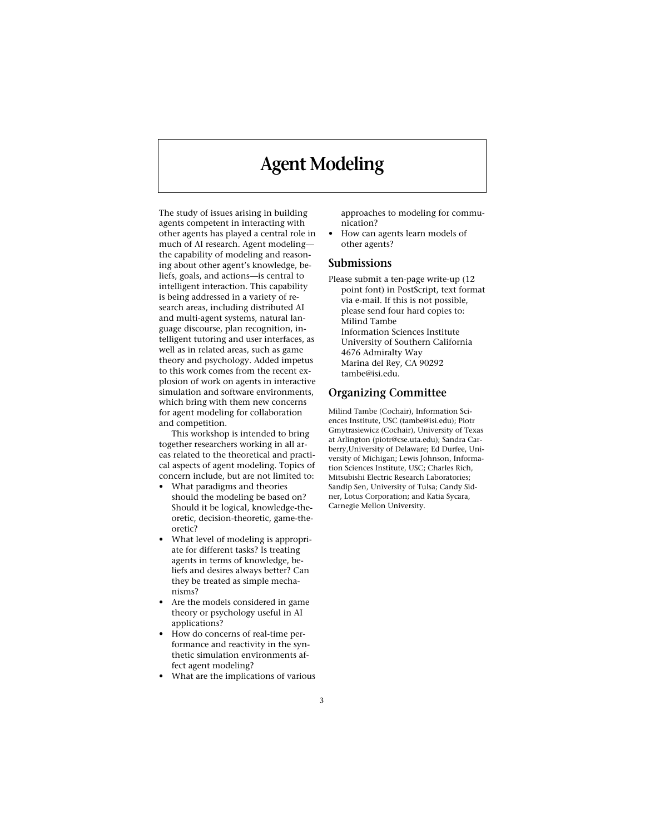## **Agent Modeling**

The study of issues arising in building agents competent in interacting with other agents has played a central role in much of AI research. Agent modeling the capability of modeling and reasoning about other agent's knowledge, beliefs, goals, and actions—is central to intelligent interaction. This capability is being addressed in a variety of research areas, including distributed AI and multi-agent systems, natural language discourse, plan recognition, intelligent tutoring and user interfaces, as well as in related areas, such as game theory and psychology. Added impetus to this work comes from the recent explosion of work on agents in interactive simulation and software environments, which bring with them new concerns for agent modeling for collaboration and competition.

This workshop is intended to bring together researchers working in all areas related to the theoretical and practical aspects of agent modeling. Topics of concern include, but are not limited to:

- What paradigms and theories should the modeling be based on? Should it be logical, knowledge-theoretic, decision-theoretic, game-theoretic?
- What level of modeling is appropriate for different tasks? Is treating agents in terms of knowledge, beliefs and desires always better? Can they be treated as simple mechanisms?
- Are the models considered in game theory or psychology useful in AI applications?
- How do concerns of real-time performance and reactivity in the synthetic simulation environments affect agent modeling?
- What are the implications of various

approaches to modeling for communication?

• How can agents learn models of other agents?

#### **Submissions**

Please submit a ten-page write-up (12 point font) in PostScript, text format via e-mail. If this is not possible, please send four hard copies to: Milind Tambe Information Sciences Institute University of Southern California 4676 Admiralty Way Marina del Rey, CA 90292 tambe@isi.edu.

#### **Organizing Committee**

Milind Tambe (Cochair), Information Sciences Institute, USC (tambe@isi.edu); Piotr Gmytrasiewicz (Cochair), University of Texas at Arlington (piotr@cse.uta.edu); Sandra Carberry,University of Delaware; Ed Durfee, University of Michigan; Lewis Johnson, Information Sciences Institute, USC; Charles Rich, Mitsubishi Electric Research Laboratories; Sandip Sen, University of Tulsa; Candy Sidner, Lotus Corporation; and Katia Sycara, Carnegie Mellon University.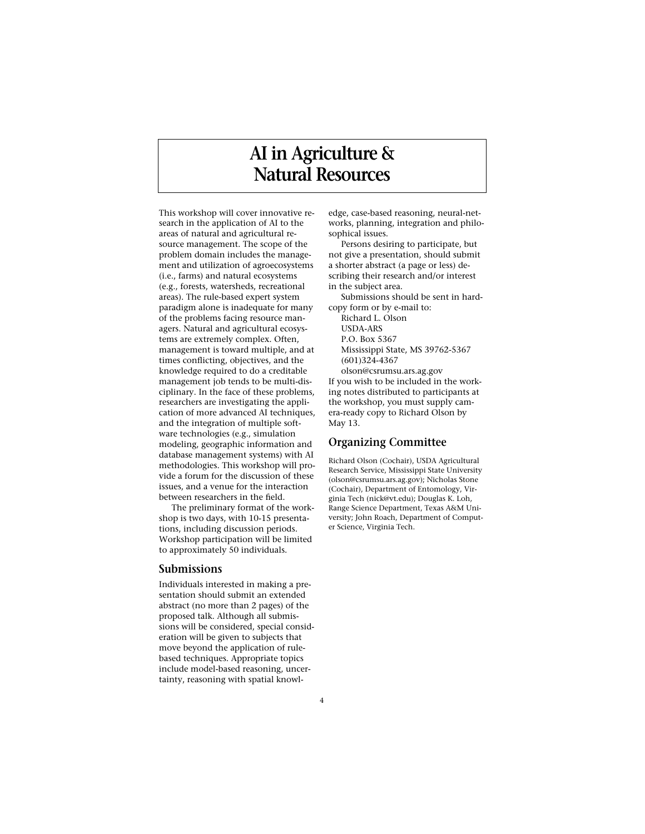# **AI in Agriculture & Natural Resources**

This workshop will cover innovative research in the application of AI to the areas of natural and agricultural resource management. The scope of the problem domain includes the management and utilization of agroecosystems (i.e., farms) and natural ecosystems (e.g., forests, watersheds, recreational areas). The rule-based expert system paradigm alone is inadequate for many of the problems facing resource managers. Natural and agricultural ecosystems are extremely complex. Often, management is toward multiple, and at times conflicting, objectives, and the knowledge required to do a creditable management job tends to be multi-disciplinary. In the face of these problems, researchers are investigating the application of more advanced AI techniques, and the integration of multiple software technologies (e.g., simulation modeling, geographic information and database management systems) with AI methodologies. This workshop will provide a forum for the discussion of these issues, and a venue for the interaction between researchers in the field.

The preliminary format of the workshop is two days, with 10-15 presentations, including discussion periods. Workshop participation will be limited to approximately 50 individuals.

#### **Submissions**

Individuals interested in making a presentation should submit an extended abstract (no more than 2 pages) of the proposed talk. Although all submissions will be considered, special consideration will be given to subjects that move beyond the application of rulebased techniques. Appropriate topics include model-based reasoning, uncertainty, reasoning with spatial knowledge, case-based reasoning, neural-networks, planning, integration and philosophical issues.

Persons desiring to participate, but not give a presentation, should submit a shorter abstract (a page or less) describing their research and/or interest in the subject area.

Submissions should be sent in hardcopy form or by e-mail to:

Richard L. Olson USDA-ARS P.O. Box 5367 Mississippi State, MS 39762-5367 (601)324-4367 olson@csrumsu.ars.ag.gov

If you wish to be included in the working notes distributed to participants at the workshop, you must supply camera-ready copy to Richard Olson by May 13.

### **Organizing Committee**

Richard Olson (Cochair), USDA Agricultural Research Service, Mississippi State University (olson@csrumsu.ars.ag.gov); Nicholas Stone (Cochair), Department of Entomology, Virginia Tech (nick@vt.edu); Douglas K. Loh, Range Science Department, Texas A&M University; John Roach, Department of Computer Science, Virginia Tech.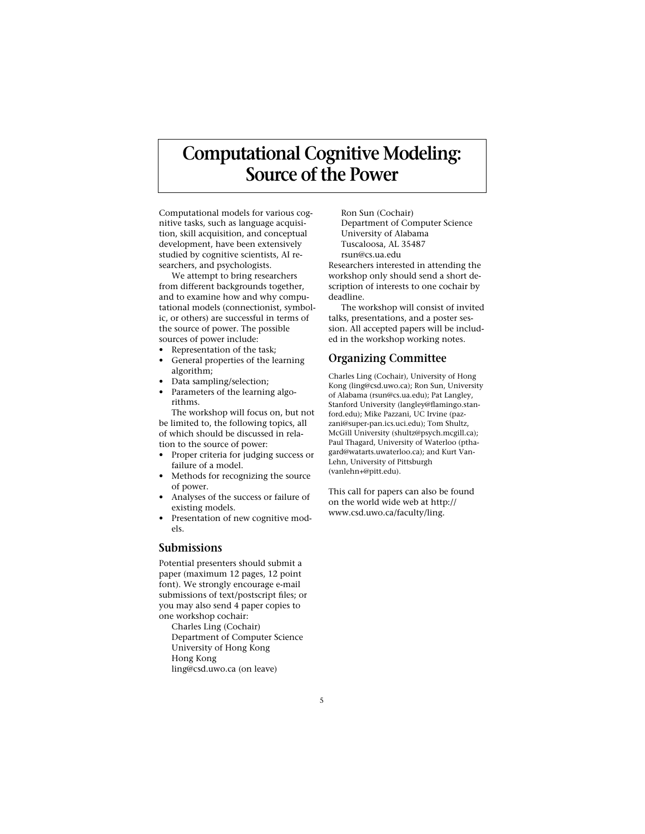# **Computational Cognitive Modeling: Source of the Power**

Computational models for various cognitive tasks, such as language acquisition, skill acquisition, and conceptual development, have been extensively studied by cognitive scientists, AI researchers, and psychologists.

We attempt to bring researchers from different backgrounds together, and to examine how and why computational models (connectionist, symbolic, or others) are successful in terms of the source of power. The possible sources of power include:

- Representation of the task;
- General properties of the learning algorithm;
- Data sampling/selection;
- Parameters of the learning algorithms.

The workshop will focus on, but not be limited to, the following topics, all of which should be discussed in relation to the source of power:

- Proper criteria for judging success or failure of a model.
- Methods for recognizing the source of power.
- Analyses of the success or failure of existing models.
- Presentation of new cognitive models.

### **Submissions**

Potential presenters should submit a paper (maximum 12 pages, 12 point font). We strongly encourage e-mail submissions of text/postscript files; or you may also send 4 paper copies to one workshop cochair:

Charles Ling (Cochair) Department of Computer Science University of Hong Kong Hong Kong ling@csd.uwo.ca (on leave)

Ron Sun (Cochair) Department of Computer Science University of Alabama Tuscaloosa, AL 35487 rsun@cs.ua.edu Researchers interested in attending the workshop only should send a short description of interests to one cochair by deadline.

The workshop will consist of invited talks, presentations, and a poster session. All accepted papers will be included in the workshop working notes.

### **Organizing Committee**

Charles Ling (Cochair), University of Hong Kong (ling@csd.uwo.ca); Ron Sun, University of Alabama (rsun@cs.ua.edu); Pat Langley, Stanford University (langley@flamingo.stanford.edu); Mike Pazzani, UC Irvine (pazzani@super-pan.ics.uci.edu); Tom Shultz, McGill University (shultz@psych.mcgill.ca); Paul Thagard, University of Waterloo (pthagard@watarts.uwaterloo.ca); and Kurt Van-Lehn, University of Pittsburgh (vanlehn+@pitt.edu).

This call for papers can also be found on the world wide web at http:// www.csd.uwo.ca/faculty/ling.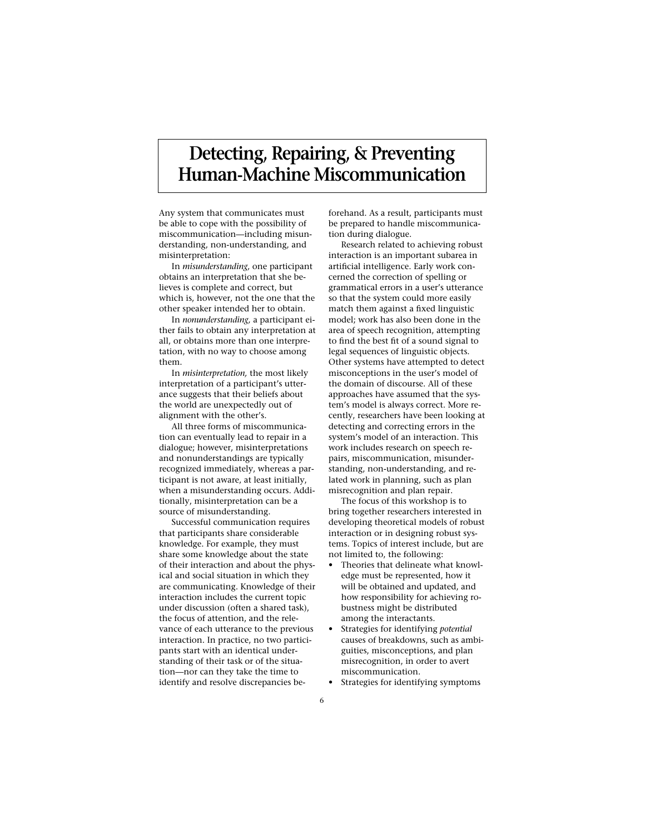# **Detecting, Repairing, & Preventing Human-Machine Miscommunication**

Any system that communicates must be able to cope with the possibility of miscommunication—including misunderstanding, non-understanding, and misinterpretation:

In *misunderstanding,* one participant obtains an interpretation that she believes is complete and correct, but which is, however, not the one that the other speaker intended her to obtain.

In *nonunderstanding,* a participant either fails to obtain any interpretation at all, or obtains more than one interpretation, with no way to choose among them.

In *misinterpretation,* the most likely interpretation of a participant's utterance suggests that their beliefs about the world are unexpectedly out of alignment with the other's.

All three forms of miscommunication can eventually lead to repair in a dialogue; however, misinterpretations and nonunderstandings are typically recognized immediately, whereas a participant is not aware, at least initially, when a misunderstanding occurs. Additionally, misinterpretation can be a source of misunderstanding.

Successful communication requires that participants share considerable knowledge. For example, they must share some knowledge about the state of their interaction and about the physical and social situation in which they are communicating. Knowledge of their interaction includes the current topic under discussion (often a shared task), the focus of attention, and the relevance of each utterance to the previous interaction. In practice, no two participants start with an identical understanding of their task or of the situation—nor can they take the time to identify and resolve discrepancies be-

forehand. As a result, participants must be prepared to handle miscommunication during dialogue.

Research related to achieving robust interaction is an important subarea in artificial intelligence. Early work concerned the correction of spelling or grammatical errors in a user's utterance so that the system could more easily match them against a fixed linguistic model; work has also been done in the area of speech recognition, attempting to find the best fit of a sound signal to legal sequences of linguistic objects. Other systems have attempted to detect misconceptions in the user's model of the domain of discourse. All of these approaches have assumed that the system's model is always correct. More recently, researchers have been looking at detecting and correcting errors in the system's model of an interaction. This work includes research on speech repairs, miscommunication, misunderstanding, non-understanding, and related work in planning, such as plan misrecognition and plan repair.

The focus of this workshop is to bring together researchers interested in developing theoretical models of robust interaction or in designing robust systems. Topics of interest include, but are not limited to, the following:

- Theories that delineate what knowledge must be represented, how it will be obtained and updated, and how responsibility for achieving robustness might be distributed among the interactants.
- Strategies for identifying *potential* causes of breakdowns, such as ambiguities, misconceptions, and plan misrecognition, in order to avert miscommunication.
- Strategies for identifying symptoms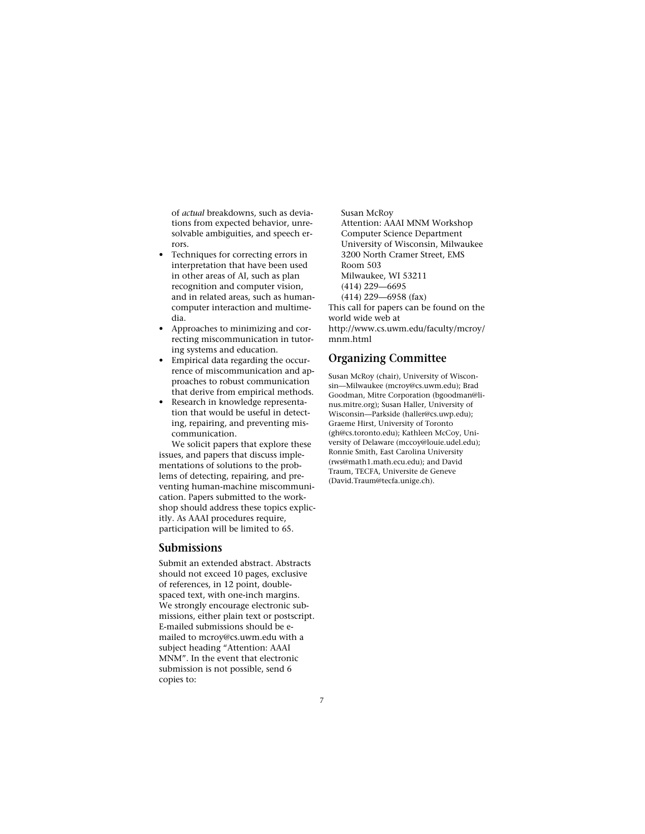of *actual* breakdowns, such as deviations from expected behavior, unresolvable ambiguities, and speech errors.

- Techniques for correcting errors in interpretation that have been used in other areas of AI, such as plan recognition and computer vision, and in related areas, such as humancomputer interaction and multimedia.
- Approaches to minimizing and correcting miscommunication in tutoring systems and education.
- Empirical data regarding the occurrence of miscommunication and approaches to robust communication that derive from empirical methods.
- Research in knowledge representation that would be useful in detecting, repairing, and preventing miscommunication.

We solicit papers that explore these issues, and papers that discuss implementations of solutions to the problems of detecting, repairing, and preventing human-machine miscommunication. Papers submitted to the workshop should address these topics explicitly. As AAAI procedures require, participation will be limited to 65.

#### **Submissions**

Submit an extended abstract. Abstracts should not exceed 10 pages, exclusive of references, in 12 point, doublespaced text, with one-inch margins. We strongly encourage electronic submissions, either plain text or postscript. E-mailed submissions should be emailed to mcroy@cs.uwm.edu with a subject heading "Attention: AAAI MNM". In the event that electronic submission is not possible, send 6 copies to:

Susan McRoy Attention: AAAI MNM Workshop Computer Science Department University of Wisconsin, Milwaukee 3200 North Cramer Street, EMS Room 503 Milwaukee, WI 53211 (414) 229—6695 (414) 229—6958 (fax) This call for papers can be found on the world wide web at

http://www.cs.uwm.edu/faculty/mcroy/ mnm.html

### **Organizing Committee**

Susan McRoy (chair), University of Wisconsin—Milwaukee (mcroy@cs.uwm.edu); Brad Goodman, Mitre Corporation (bgoodman@linus.mitre.org); Susan Haller, University of Wisconsin—Parkside (haller@cs.uwp.edu); Graeme Hirst, University of Toronto (gh@cs.toronto.edu); Kathleen McCoy, University of Delaware (mccoy@louie.udel.edu); Ronnie Smith, East Carolina University (rws@math1.math.ecu.edu); and David Traum, TECFA, Universite de Geneve (David.Traum@tecfa.unige.ch).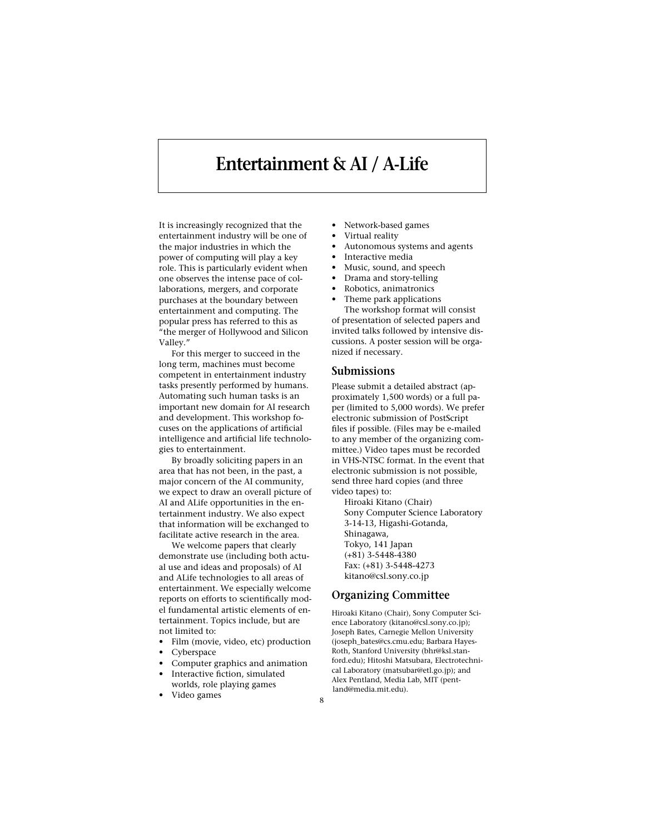## **Entertainment & AI / A-Life**

It is increasingly recognized that the entertainment industry will be one of the major industries in which the power of computing will play a key role. This is particularly evident when one observes the intense pace of collaborations, mergers, and corporate purchases at the boundary between entertainment and computing. The popular press has referred to this as "the merger of Hollywood and Silicon Valley."

For this merger to succeed in the long term, machines must become competent in entertainment industry tasks presently performed by humans. Automating such human tasks is an important new domain for AI research and development. This workshop focuses on the applications of artificial intelligence and artificial life technologies to entertainment.

By broadly soliciting papers in an area that has not been, in the past, a major concern of the AI community, we expect to draw an overall picture of AI and ALife opportunities in the entertainment industry. We also expect that information will be exchanged to facilitate active research in the area.

We welcome papers that clearly demonstrate use (including both actual use and ideas and proposals) of AI and ALife technologies to all areas of entertainment. We especially welcome reports on efforts to scientifically model fundamental artistic elements of entertainment. Topics include, but are not limited to:

- Film (movie, video, etc) production
- Cyberspace
- Computer graphics and animation
- Interactive fiction, simulated worlds, role playing games
- Video games
- Network-based games
- Virtual reality
- Autonomous systems and agents
- Interactive media
- Music, sound, and speech
- Drama and story-telling
- Robotics, animatronics
- Theme park applications The workshop format will consist of presentation of selected papers and invited talks followed by intensive discussions. A poster session will be organized if necessary.

#### **Submissions**

Please submit a detailed abstract (approximately 1,500 words) or a full paper (limited to 5,000 words). We prefer electronic submission of PostScript files if possible. (Files may be e-mailed to any member of the organizing committee.) Video tapes must be recorded in VHS-NTSC format. In the event that electronic submission is not possible, send three hard copies (and three video tapes) to:

Hiroaki Kitano (Chair) Sony Computer Science Laboratory 3-14-13, Higashi-Gotanda, Shinagawa, Tokyo, 141 Japan (+81) 3-5448-4380 Fax: (+81) 3-5448-4273 kitano@csl.sony.co.jp

### **Organizing Committee**

Hiroaki Kitano (Chair), Sony Computer Science Laboratory (kitano@csl.sony.co.jp); Joseph Bates, Carnegie Mellon University (joseph\_bates@cs.cmu.edu; Barbara Hayes-Roth, Stanford University (bhr@ksl.stanford.edu); Hitoshi Matsubara, Electrotechnical Laboratory (matsubar@etl.go.jp); and Alex Pentland, Media Lab, MIT (pentland@media.mit.edu).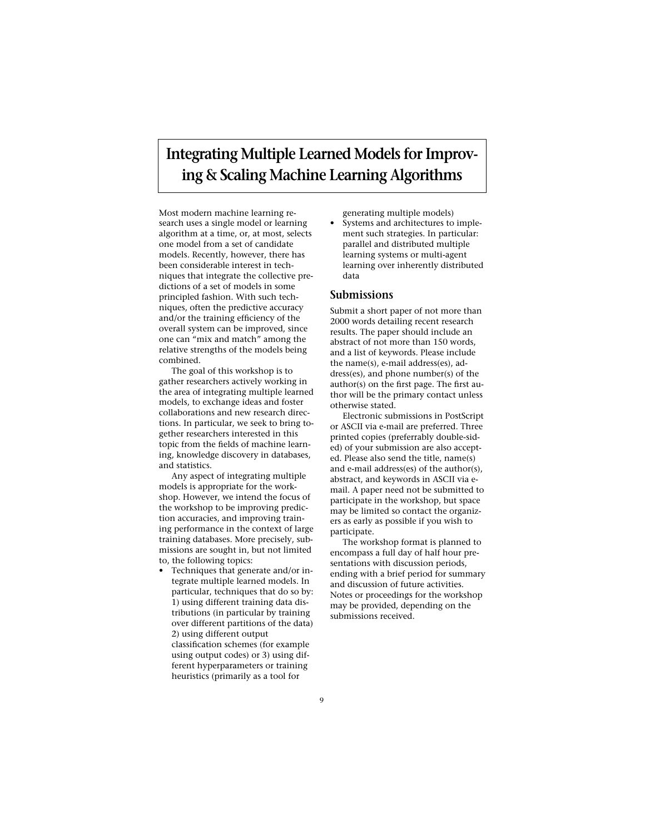### **Integrating Multiple Learned Models for Improving & Scaling Machine Learning Algorithms**

Most modern machine learning research uses a single model or learning algorithm at a time, or, at most, selects one model from a set of candidate models. Recently, however, there has been considerable interest in techniques that integrate the collective predictions of a set of models in some principled fashion. With such techniques, often the predictive accuracy and/or the training efficiency of the overall system can be improved, since one can "mix and match" among the relative strengths of the models being combined.

The goal of this workshop is to gather researchers actively working in the area of integrating multiple learned models, to exchange ideas and foster collaborations and new research directions. In particular, we seek to bring together researchers interested in this topic from the fields of machine learning, knowledge discovery in databases, and statistics.

Any aspect of integrating multiple models is appropriate for the workshop. However, we intend the focus of the workshop to be improving prediction accuracies, and improving training performance in the context of large training databases. More precisely, submissions are sought in, but not limited to, the following topics:

• Techniques that generate and/or integrate multiple learned models. In particular, techniques that do so by: 1) using different training data distributions (in particular by training over different partitions of the data) 2) using different output classification schemes (for example

using output codes) or 3) using different hyperparameters or training heuristics (primarily as a tool for

generating multiple models)

• Systems and architectures to implement such strategies. In particular: parallel and distributed multiple learning systems or multi-agent learning over inherently distributed data

### **Submissions**

Submit a short paper of not more than 2000 words detailing recent research results. The paper should include an abstract of not more than 150 words, and a list of keywords. Please include the name(s), e-mail address(es), address(es), and phone number(s) of the author(s) on the first page. The first author will be the primary contact unless otherwise stated.

Electronic submissions in PostScript or ASCII via e-mail are preferred. Three printed copies (preferrably double-sided) of your submission are also accepted. Please also send the title, name(s) and e-mail address(es) of the author(s), abstract, and keywords in ASCII via email. A paper need not be submitted to participate in the workshop, but space may be limited so contact the organizers as early as possible if you wish to participate.

The workshop format is planned to encompass a full day of half hour presentations with discussion periods, ending with a brief period for summary and discussion of future activities. Notes or proceedings for the workshop may be provided, depending on the submissions received.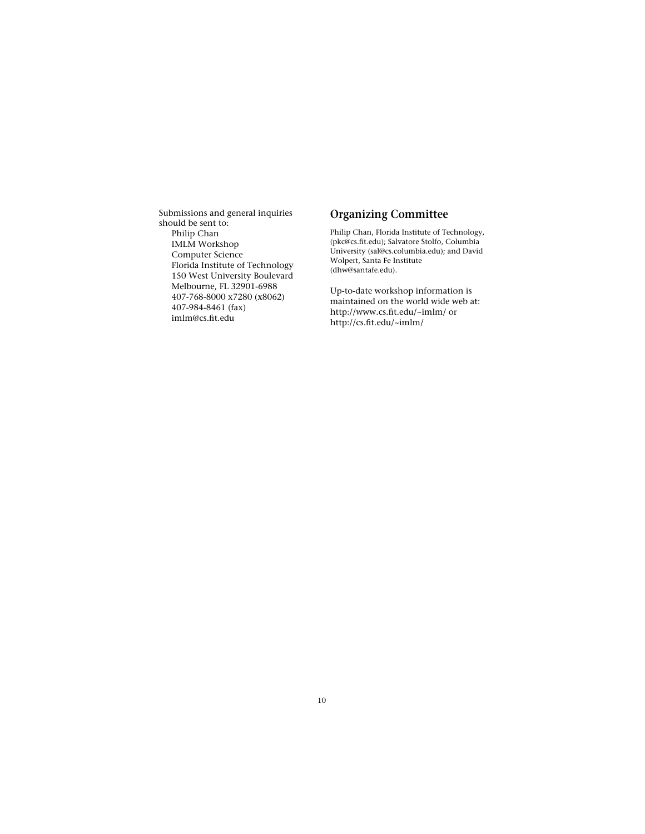Submissions and general inquiries should be sent to: Philip Chan IMLM Workshop Computer Science Florida Institute of Technology 150 West University Boulevard Melbourne, FL 32901-6988 407-768-8000 x7280 (x8062) 407-984-8461 (fax) imlm@cs.fit.edu

### **Organizing Committee**

Philip Chan, Florida Institute of Technology, (pkc@cs.fit.edu); Salvatore Stolfo, Columbia University (sal@cs.columbia.edu); and David Wolpert, Santa Fe Institute (dhw@santafe.edu).

Up-to-date workshop information is maintained on the world wide web at: http://www.cs.fit.edu/~imlm/ or http://cs.fit.edu/~imlm/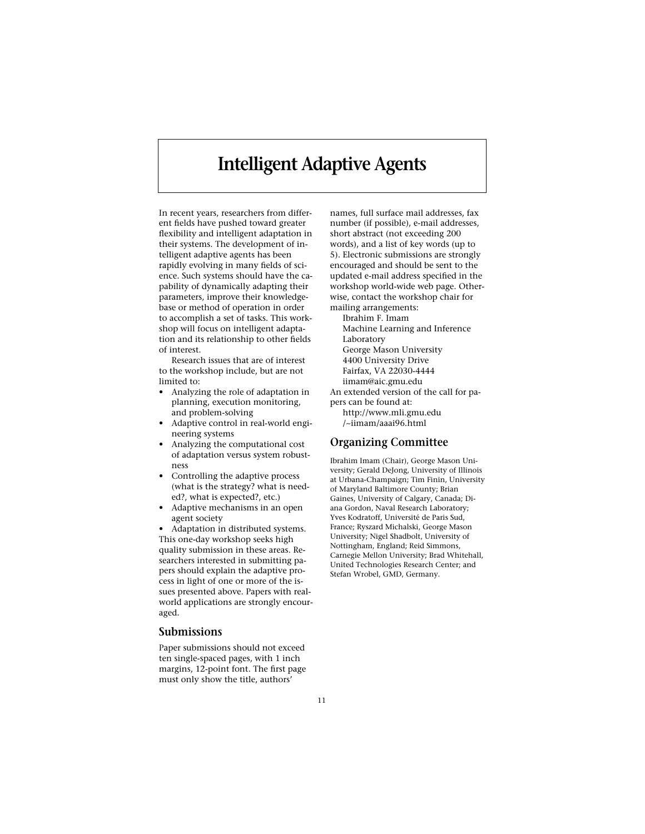## **Intelligent Adaptive Agents**

In recent years, researchers from different fields have pushed toward greater flexibility and intelligent adaptation in their systems. The development of intelligent adaptive agents has been rapidly evolving in many fields of science. Such systems should have the capability of dynamically adapting their parameters, improve their knowledgebase or method of operation in order to accomplish a set of tasks. This workshop will focus on intelligent adaptation and its relationship to other fields of interest.

Research issues that are of interest to the workshop include, but are not limited to:

- Analyzing the role of adaptation in planning, execution monitoring, and problem-solving
- Adaptive control in real-world engineering systems
- Analyzing the computational cost of adaptation versus system robustness
- Controlling the adaptive process (what is the strategy? what is needed?, what is expected?, etc.)
- Adaptive mechanisms in an open agent society

• Adaptation in distributed systems. This one-day workshop seeks high quality submission in these areas. Researchers interested in submitting papers should explain the adaptive process in light of one or more of the issues presented above. Papers with realworld applications are strongly encouraged.

### **Submissions**

Paper submissions should not exceed ten single-spaced pages, with 1 inch margins, 12-point font. The first page must only show the title, authors'

names, full surface mail addresses, fax number (if possible), e-mail addresses, short abstract (not exceeding 200 words), and a list of key words (up to 5). Electronic submissions are strongly encouraged and should be sent to the updated e-mail address specified in the workshop world-wide web page. Otherwise, contact the workshop chair for mailing arrangements: Ibrahim F. Imam

Machine Learning and Inference Laboratory George Mason University 4400 University Drive Fairfax, VA 22030-4444 iimam@aic.gmu.edu An extended version of the call for pa-

pers can be found at: http://www.mli.gmu.edu

/~iimam/aaai96.html

### **Organizing Committee**

Ibrahim Imam (Chair), George Mason University; Gerald DeJong, University of Illinois at Urbana-Champaign; Tim Finin, University of Maryland Baltimore County; Brian Gaines, University of Calgary, Canada; Diana Gordon, Naval Research Laboratory; Yves Kodratoff, Université de Paris Sud, France; Ryszard Michalski, George Mason University; Nigel Shadbolt, University of Nottingham, England; Reid Simmons, Carnegie Mellon University; Brad Whitehall, United Technologies Research Center; and Stefan Wrobel, GMD, Germany.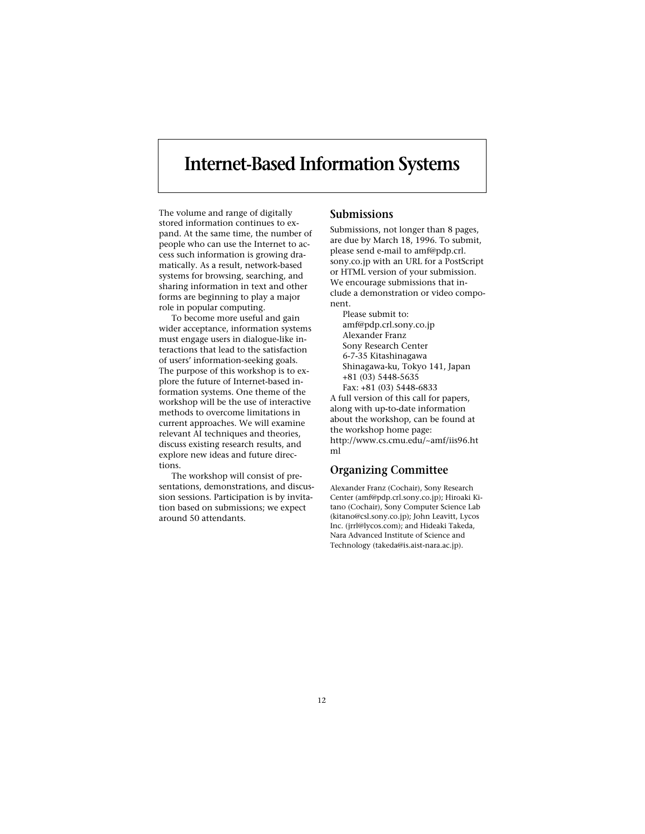## **Internet-Based Information Systems**

The volume and range of digitally stored information continues to expand. At the same time, the number of people who can use the Internet to access such information is growing dramatically. As a result, network-based systems for browsing, searching, and sharing information in text and other forms are beginning to play a major role in popular computing.

To become more useful and gain wider acceptance, information systems must engage users in dialogue-like interactions that lead to the satisfaction of users' information-seeking goals. The purpose of this workshop is to explore the future of Internet-based information systems. One theme of the workshop will be the use of interactive methods to overcome limitations in current approaches. We will examine relevant AI techniques and theories, discuss existing research results, and explore new ideas and future directions.

The workshop will consist of presentations, demonstrations, and discussion sessions. Participation is by invitation based on submissions; we expect around 50 attendants.

### **Submissions**

Submissions, not longer than 8 pages, are due by March 18, 1996. To submit, please send e-mail to amf@pdp.crl. sony.co.jp with an URL for a PostScript or HTML version of your submission. We encourage submissions that include a demonstration or video component.

Please submit to: amf@pdp.crl.sony.co.jp Alexander Franz Sony Research Center 6-7-35 Kitashinagawa Shinagawa-ku, Tokyo 141, Japan +81 (03) 5448-5635 Fax: +81 (03) 5448-6833 A full version of this call for papers, along with up-to-date information about the workshop, can be found at the workshop home page: http://www.cs.cmu.edu/~amf/iis96.ht ml

### **Organizing Committee**

Alexander Franz (Cochair), Sony Research Center (amf@pdp.crl.sony.co.jp); Hiroaki Kitano (Cochair), Sony Computer Science Lab (kitano@csl.sony.co.jp); John Leavitt, Lycos Inc. (jrrl@lycos.com); and Hideaki Takeda, Nara Advanced Institute of Science and Technology (takeda@is.aist-nara.ac.jp).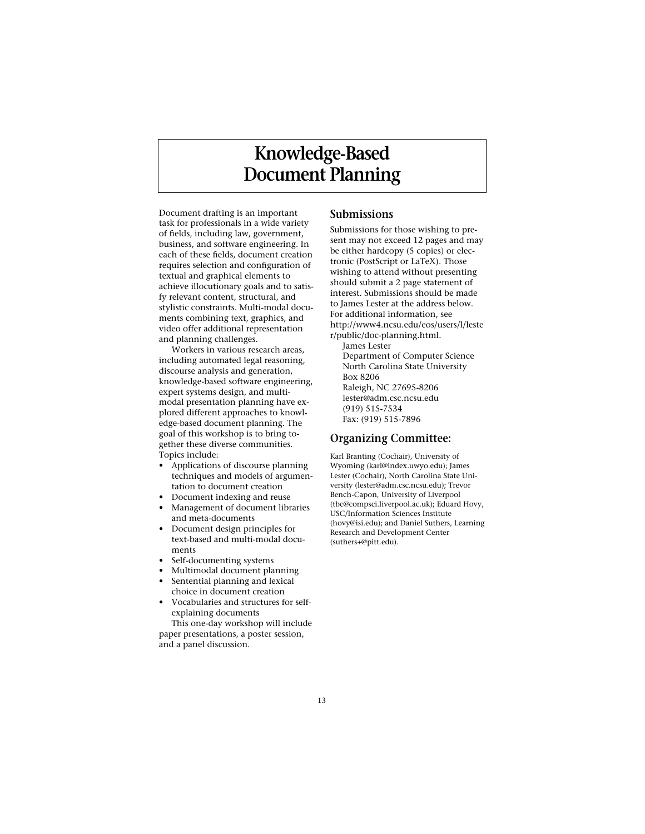# **Knowledge-Based Document Planning**

Document drafting is an important task for professionals in a wide variety of fields, including law, government, business, and software engineering. In each of these fields, document creation requires selection and configuration of textual and graphical elements to achieve illocutionary goals and to satisfy relevant content, structural, and stylistic constraints. Multi-modal documents combining text, graphics, and video offer additional representation and planning challenges.

Workers in various research areas, including automated legal reasoning, discourse analysis and generation, knowledge-based software engineering, expert systems design, and multimodal presentation planning have explored different approaches to knowledge-based document planning. The goal of this workshop is to bring together these diverse communities. Topics include:

- Applications of discourse planning techniques and models of argumentation to document creation
- Document indexing and reuse
- Management of document libraries and meta-documents
- Document design principles for text-based and multi-modal documents
- Self-documenting systems
- Multimodal document planning Sentential planning and lexical
- choice in document creation
- Vocabularies and structures for selfexplaining documents This one-day workshop will include

paper presentations, a poster session, and a panel discussion.

### **Submissions**

Submissions for those wishing to present may not exceed 12 pages and may be either hardcopy (5 copies) or electronic (PostScript or LaTeX). Those wishing to attend without presenting should submit a 2 page statement of interest. Submissions should be made to James Lester at the address below. For additional information, see http://www4.ncsu.edu/eos/users/l/leste r/public/doc-planning.html. James Lester Department of Computer Science North Carolina State University Box 8206 Raleigh, NC 27695-8206

lester@adm.csc.ncsu.edu (919) 515-7534 Fax: (919) 515-7896

### **Organizing Committee:**

Karl Branting (Cochair), University of Wyoming (karl@index.uwyo.edu); James Lester (Cochair), North Carolina State University (lester@adm.csc.ncsu.edu); Trevor Bench-Capon, University of Liverpool (tbc@compsci.liverpool.ac.uk); Eduard Hovy, USC/Information Sciences Institute (hovy@isi.edu); and Daniel Suthers, Learning Research and Development Center (suthers+@pitt.edu).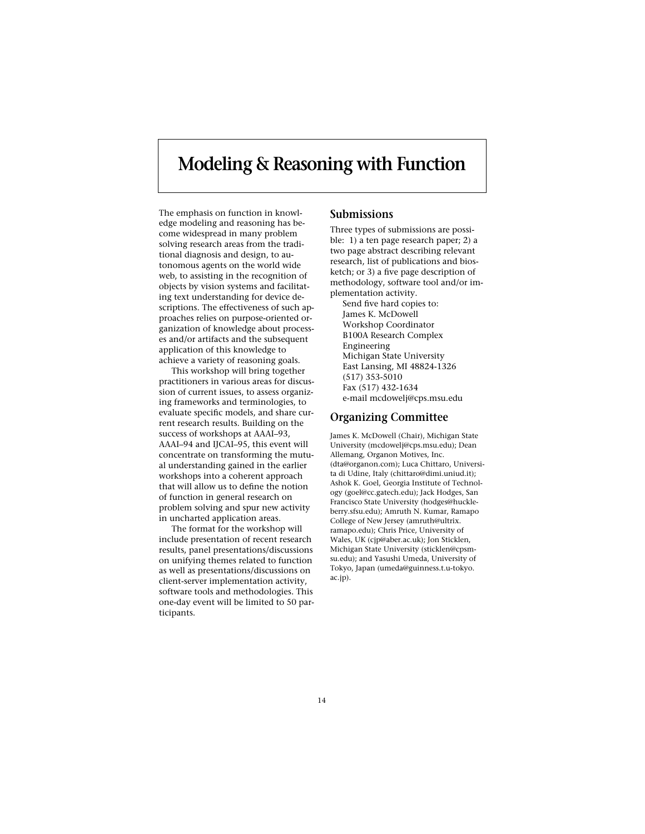## **Modeling & Reasoning with Function**

The emphasis on function in knowledge modeling and reasoning has become widespread in many problem solving research areas from the traditional diagnosis and design, to autonomous agents on the world wide web, to assisting in the recognition of objects by vision systems and facilitating text understanding for device descriptions. The effectiveness of such approaches relies on purpose-oriented organization of knowledge about processes and/or artifacts and the subsequent application of this knowledge to achieve a variety of reasoning goals.

This workshop will bring together practitioners in various areas for discussion of current issues, to assess organizing frameworks and terminologies, to evaluate specific models, and share current research results. Building on the success of workshops at AAAI–93, AAAI–94 and IJCAI–95, this event will concentrate on transforming the mutual understanding gained in the earlier workshops into a coherent approach that will allow us to define the notion of function in general research on problem solving and spur new activity in uncharted application areas.

The format for the workshop will include presentation of recent research results, panel presentations/discussions on unifying themes related to function as well as presentations/discussions on client-server implementation activity, software tools and methodologies. This one-day event will be limited to 50 participants.

### **Submissions**

Three types of submissions are possible: 1) a ten page research paper; 2) a two page abstract describing relevant research, list of publications and biosketch; or 3) a five page description of methodology, software tool and/or implementation activity.

Send five hard copies to: James K. McDowell Workshop Coordinator B100A Research Complex Engineering Michigan State University East Lansing, MI 48824-1326 (517) 353-5010 Fax (517) 432-1634 e-mail mcdowelj@cps.msu.edu

#### **Organizing Committee**

James K. McDowell (Chair), Michigan State University (mcdowelj@cps.msu.edu); Dean Allemang, Organon Motives, Inc. (dta@organon.com); Luca Chittaro, Universita di Udine, Italy (chittaro@dimi.uniud.it); Ashok K. Goel, Georgia Institute of Technology (goel@cc.gatech.edu); Jack Hodges, San Francisco State University (hodges@huckleberry.sfsu.edu); Amruth N. Kumar, Ramapo College of New Jersey (amruth@ultrix. ramapo.edu); Chris Price, University of Wales, UK (cjp@aber.ac.uk); Jon Sticklen, Michigan State University (sticklen@cpsmsu.edu); and Yasushi Umeda, University of Tokyo, Japan (umeda@guinness.t.u-tokyo. ac.jp).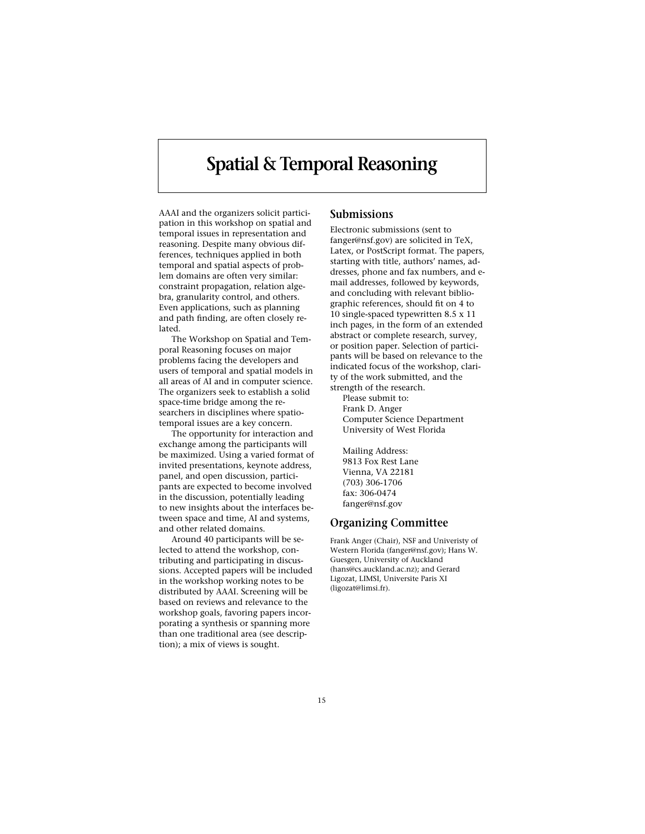# **Spatial & Temporal Reasoning**

AAAI and the organizers solicit participation in this workshop on spatial and temporal issues in representation and reasoning. Despite many obvious differences, techniques applied in both temporal and spatial aspects of problem domains are often very similar: constraint propagation, relation algebra, granularity control, and others. Even applications, such as planning and path finding, are often closely related.

The Workshop on Spatial and Temporal Reasoning focuses on major problems facing the developers and users of temporal and spatial models in all areas of AI and in computer science. The organizers seek to establish a solid space-time bridge among the researchers in disciplines where spatiotemporal issues are a key concern.

The opportunity for interaction and exchange among the participants will be maximized. Using a varied format of invited presentations, keynote address, panel, and open discussion, participants are expected to become involved in the discussion, potentially leading to new insights about the interfaces between space and time, AI and systems, and other related domains.

Around 40 participants will be selected to attend the workshop, contributing and participating in discussions. Accepted papers will be included in the workshop working notes to be distributed by AAAI. Screening will be based on reviews and relevance to the workshop goals, favoring papers incorporating a synthesis or spanning more than one traditional area (see description); a mix of views is sought.

### **Submissions**

Electronic submissions (sent to fanger@nsf.gov) are solicited in TeX, Latex, or PostScript format. The papers, starting with title, authors' names, addresses, phone and fax numbers, and email addresses, followed by keywords, and concluding with relevant bibliographic references, should fit on 4 to 10 single-spaced typewritten 8.5 x 11 inch pages, in the form of an extended abstract or complete research, survey, or position paper. Selection of participants will be based on relevance to the indicated focus of the workshop, clarity of the work submitted, and the

strength of the research. Please submit to: Frank D. Anger Computer Science Department University of West Florida

Mailing Address: 9813 Fox Rest Lane Vienna, VA 22181 (703) 306-1706 fax: 306-0474 fanger@nsf.gov

#### **Organizing Committee**

Frank Anger (Chair), NSF and Univeristy of Western Florida (fanger@nsf.gov); Hans W. Guesgen, University of Auckland (hans@cs.auckland.ac.nz); and Gerard Ligozat, LIMSI, Universite Paris XI (ligozat@limsi.fr).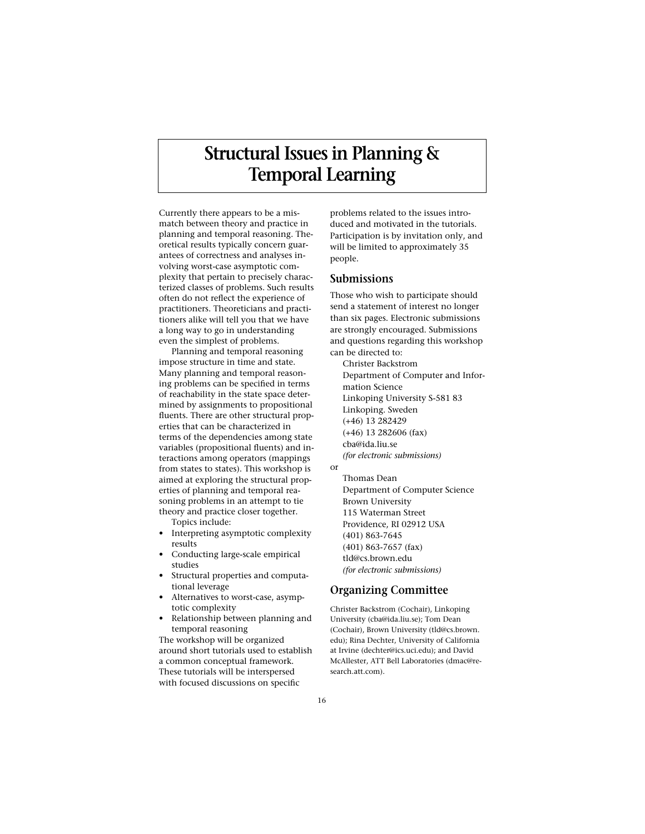# **Structural Issues in Planning & Temporal Learning**

Currently there appears to be a mismatch between theory and practice in planning and temporal reasoning. Theoretical results typically concern guarantees of correctness and analyses involving worst-case asymptotic complexity that pertain to precisely characterized classes of problems. Such results often do not reflect the experience of practitioners. Theoreticians and practitioners alike will tell you that we have a long way to go in understanding even the simplest of problems.

Planning and temporal reasoning impose structure in time and state. Many planning and temporal reasoning problems can be specified in terms of reachability in the state space determined by assignments to propositional fluents. There are other structural properties that can be characterized in terms of the dependencies among state variables (propositional fluents) and interactions among operators (mappings from states to states). This workshop is aimed at exploring the structural properties of planning and temporal reasoning problems in an attempt to tie theory and practice closer together. Topics include:

- Interpreting asymptotic complexity results
- Conducting large-scale empirical studies
- Structural properties and computational leverage
- Alternatives to worst-case, asymptotic complexity
- Relationship between planning and temporal reasoning

The workshop will be organized around short tutorials used to establish a common conceptual framework. These tutorials will be interspersed with focused discussions on specific

problems related to the issues introduced and motivated in the tutorials. Participation is by invitation only, and will be limited to approximately 35 people.

### **Submissions**

Those who wish to participate should send a statement of interest no longer than six pages. Electronic submissions are strongly encouraged. Submissions and questions regarding this workshop can be directed to:

Christer Backstrom Department of Computer and Information Science Linkoping University S-581 83 Linkoping. Sweden (+46) 13 282429 (+46) 13 282606 (fax) cba@ida.liu.se *(for electronic submissions)*

Thomas Dean Department of Computer Science Brown University 115 Waterman Street Providence, RI 02912 USA (401) 863-7645 (401) 863-7657 (fax) tld@cs.brown.edu *(for electronic submissions)*

### **Organizing Committee**

Christer Backstrom (Cochair), Linkoping University (cba@ida.liu.se); Tom Dean (Cochair), Brown University (tld@cs.brown. edu); Rina Dechter, University of California at Irvine (dechter@ics.uci.edu); and David McAllester, ATT Bell Laboratories (dmac@research att.com).

or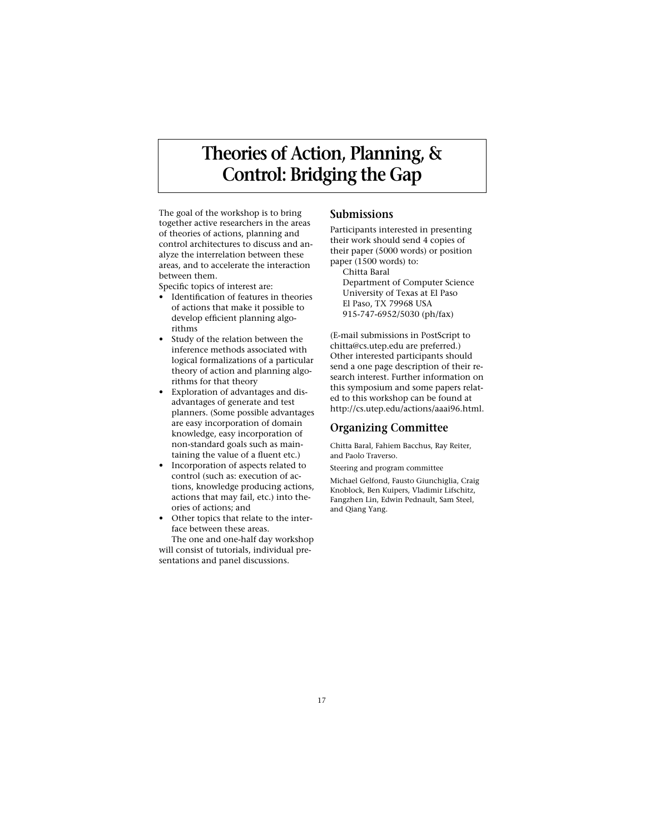# **Theories of Action, Planning, & Control: Bridging the Gap**

The goal of the workshop is to bring together active researchers in the areas of theories of actions, planning and control architectures to discuss and analyze the interrelation between these areas, and to accelerate the interaction between them.

Specific topics of interest are:

- Identification of features in theories of actions that make it possible to develop efficient planning algorithms
- Study of the relation between the inference methods associated with logical formalizations of a particular theory of action and planning algorithms for that theory
- Exploration of advantages and disadvantages of generate and test planners. (Some possible advantages are easy incorporation of domain knowledge, easy incorporation of non-standard goals such as maintaining the value of a fluent etc.)
- Incorporation of aspects related to control (such as: execution of actions, knowledge producing actions, actions that may fail, etc.) into theories of actions; and
- Other topics that relate to the interface between these areas.

The one and one-half day workshop will consist of tutorials, individual presentations and panel discussions.

### **Submissions**

Participants interested in presenting their work should send 4 copies of their paper (5000 words) or position paper (1500 words) to: Chitta Baral

Department of Computer Science University of Texas at El Paso El Paso, TX 79968 USA 915-747-6952/5030 (ph/fax)

(E-mail submissions in PostScript to chitta@cs.utep.edu are preferred.) Other interested participants should send a one page description of their research interest. Further information on this symposium and some papers related to this workshop can be found at http://cs.utep.edu/actions/aaai96.html.

### **Organizing Committee**

Chitta Baral, Fahiem Bacchus, Ray Reiter, and Paolo Traverso.

Steering and program committee

Michael Gelfond, Fausto Giunchiglia, Craig Knoblock, Ben Kuipers, Vladimir Lifschitz, Fangzhen Lin, Edwin Pednault, Sam Steel, and Qiang Yang.